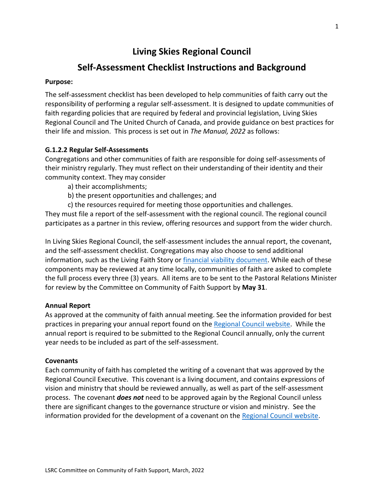# **Living Skies Regional Council**

# **Self-Assessment Checklist Instructions and Background**

#### **Purpose:**

The self-assessment checklist has been developed to help communities of faith carry out the responsibility of performing a regular self-assessment. It is designed to update communities of faith regarding policies that are required by federal and provincial legislation, Living Skies Regional Council and The United Church of Canada, and provide guidance on best practices for their life and mission. This process is set out in *The Manual, 2022* as follows:

# **G.1.2.2 Regular Self-Assessments**

Congregations and other communities of faith are responsible for doing self-assessments of their ministry regularly. They must reflect on their understanding of their identity and their community context. They may consider

- a) their accomplishments;
- b) the present opportunities and challenges; and
- c) the resources required for meeting those opportunities and challenges.

They must file a report of the self-assessment with the regional council. The regional council participates as a partner in this review, offering resources and support from the wider church.

In Living Skies Regional Council, the self-assessment includes the annual report, the covenant, and the self-assessment checklist. Congregations may also choose to send additional information, such as the Living Faith Story or [financial viability](https://livingskiesrc.ca/wp-content/uploads/2021/02/Financial-Viability-Review-for-Re-appointments.pdf) document. While each of these components may be reviewed at any time locally, communities of faith are asked to complete the full process every three (3) years. All items are to be sent to the Pastoral Relations Minister for review by the Committee on Community of Faith Support by **May 31**.

# **Annual Report**

As approved at the community of faith annual meeting. See the information provided for best practices in preparing your annual report found on the [Regional Council website.](https://livingskiesrc.ca/wp-content/uploads/2022/01/LSRC-Annual-Reports-best-practices.pdf) While the annual report is required to be submitted to the Regional Council annually, only the current year needs to be included as part of the self-assessment.

# **Covenants**

Each community of faith has completed the writing of a covenant that was approved by the Regional Council Executive. This covenant is a living document, and contains expressions of vision and ministry that should be reviewed annually, as well as part of the self-assessment process. The covenant *does not* need to be approved again by the Regional Council unless there are significant changes to the governance structure or vision and ministry. See the information provided for the development of a covenant on the [Regional Council website.](https://livingskiesrc.ca/wp-content/uploads/2020/02/Preparing-the-Covenant-LSRC.pdf)